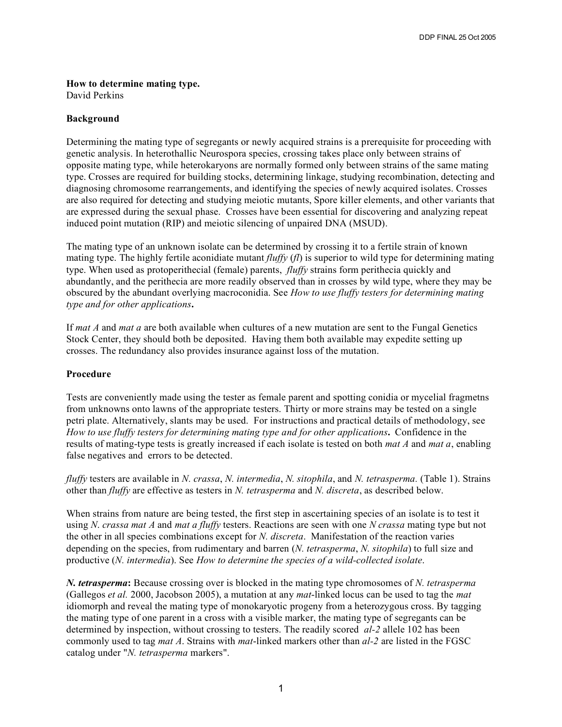## **How to determine mating type.**

David Perkins

## **Background**

Determining the mating type of segregants or newly acquired strains is a prerequisite for proceeding with genetic analysis. In heterothallic Neurospora species, crossing takes place only between strains of opposite mating type, while heterokaryons are normally formed only between strains of the same mating type. Crosses are required for building stocks, determining linkage, studying recombination, detecting and diagnosing chromosome rearrangements, and identifying the species of newly acquired isolates. Crosses are also required for detecting and studying meiotic mutants, Spore killer elements, and other variants that are expressed during the sexual phase. Crosses have been essential for discovering and analyzing repeat induced point mutation (RIP) and meiotic silencing of unpaired DNA (MSUD).

The mating type of an unknown isolate can be determined by crossing it to a fertile strain of known mating type. The highly fertile aconidiate mutant *fluffy* (*fl*) is superior to wild type for determining mating type. When used as protoperithecial (female) parents, *fluffy* strains form perithecia quickly and abundantly, and the perithecia are more readily observed than in crosses by wild type, where they may be obscured by the abundant overlying macroconidia. See *How to use fluffy testers for determining mating type and for other applications***.**

If *mat A* and *mat a* are both available when cultures of a new mutation are sent to the Fungal Genetics Stock Center, they should both be deposited. Having them both available may expedite setting up crosses. The redundancy also provides insurance against loss of the mutation.

## **Procedure**

Tests are conveniently made using the tester as female parent and spotting conidia or mycelial fragmetns from unknowns onto lawns of the appropriate testers. Thirty or more strains may be tested on a single petri plate. Alternatively, slants may be used. For instructions and practical details of methodology, see *How to use fluffy testers for determining mating type and for other applications***.** Confidence in the results of mating-type tests is greatly increased if each isolate is tested on both *mat A* and *mat a*, enabling false negatives and errors to be detected.

*fluffy* testers are available in *N. crassa*, *N. intermedia*, *N. sitophila*, and *N. tetrasperma.* (Table 1). Strains other than *fluffy* are effective as testers in *N. tetrasperma* and *N. discreta*, as described below.

When strains from nature are being tested, the first step in ascertaining species of an isolate is to test it using *N*. *crassa mat A* and *mat a fluffy* testers. Reactions are seen with one *N crassa* mating type but not the other in all species combinations except for *N. discreta*. Manifestation of the reaction varies depending on the species, from rudimentary and barren (*N. tetrasperma*, *N. sitophila*) to full size and productive (*N. intermedia*). See *How to determine the species of a wild-collected isolate*.

*N. tetrasperma***:** Because crossing over is blocked in the mating type chromosomes of *N. tetrasperma* (Gallegos *et al.* 2000, Jacobson 2005), a mutation at any *mat*-linked locus can be used to tag the *mat* idiomorph and reveal the mating type of monokaryotic progeny from a heterozygous cross. By tagging the mating type of one parent in a cross with a visible marker, the mating type of segregants can be determined by inspection, without crossing to testers. The readily scored *al-2* allele 102 has been commonly used to tag *mat A*. Strains with *mat*-linked markers other than *al-2* are listed in the FGSC catalog under "*N. tetrasperma* markers".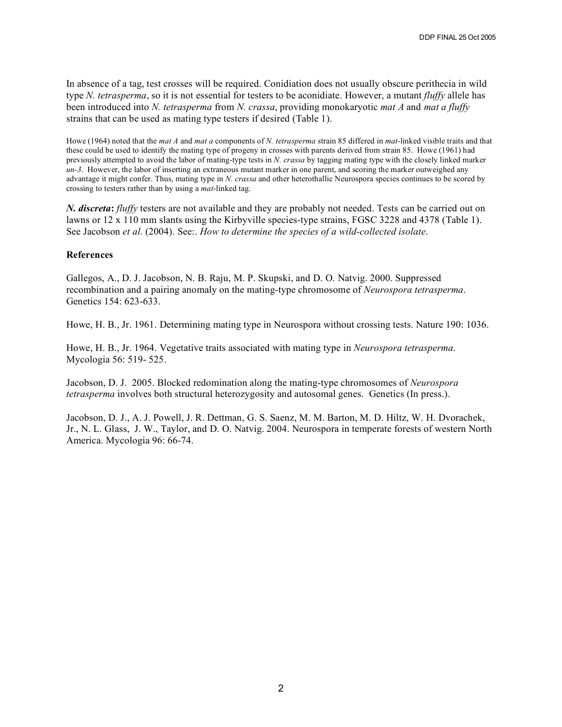In absence of a tag, test crosses will be required. Conidiation does not usually obscure perithecia in wild type *N. tetrasperma*, so it is not essential for testers to be aconidiate. However, a mutant *fluffy* allele has been introduced into *N. tetrasperma* from *N. crassa*, providing monokaryotic *mat A* and *mat a fluffy* strains that can be used as mating type testers if desired (Table 1).

Howe (1964) noted that the *mat A* and *mat a* components of *N. tetrasperma* strain 85 differed in *mat*-linked visible traits and that these could be used to identify the mating type of progeny in crosses with parents derived from strain 85. Howe (1961) had previously attempted to avoid the labor of mating-type tests in *N. crassa* by tagging mating type with the closely linked marker *un-3*. However, the labor of inserting an extraneous mutant marker in one parent, and scoring the marker outweighed any advantage it might confer. Thus, mating type in *N. crassa* and other heterothallic Neurospora species continues to be scored by crossing to testers rather than by using a *mat*-linked tag.

*N. discreta***:** *fluffy* testers are not available and they are probably not needed. Tests can be carried out on lawns or 12 x 110 mm slants using the Kirbyville species-type strains, FGSC 3228 and 4378 (Table 1). See Jacobson *et al.* (2004). See:. *How to determine the species of a wild-collected isolate*.

## **References**

Gallegos, A., D. J. Jacobson, N. B. Raju, M. P. Skupski, and D. O. Natvig. 2000. Suppressed recombination and a pairing anomaly on the mating-type chromosome of *Neurospora tetrasperma*. Genetics 154: 623-633.

Howe, H. B., Jr. 1961. Determining mating type in Neurospora without crossing tests. Nature 190: 1036.

Howe, H. B., Jr. 1964. Vegetative traits associated with mating type in *Neurospora tetrasperma*. Mycologia 56: 519- 525.

Jacobson, D. J. 2005. Blocked redomination along the mating-type chromosomes of *Neurospora tetrasperma* involves both structural heterozygosity and autosomal genes. Genetics (In press.).

Jacobson, D. J., A. J. Powell, J. R. Dettman, G. S. Saenz, M. M. Barton, M. D. Hiltz, W. H. Dvorachek, Jr., N. L. Glass, J. W., Taylor, and D. O. Natvig. 2004. Neurospora in temperate forests of western North America. Mycologia 96: 66-74.